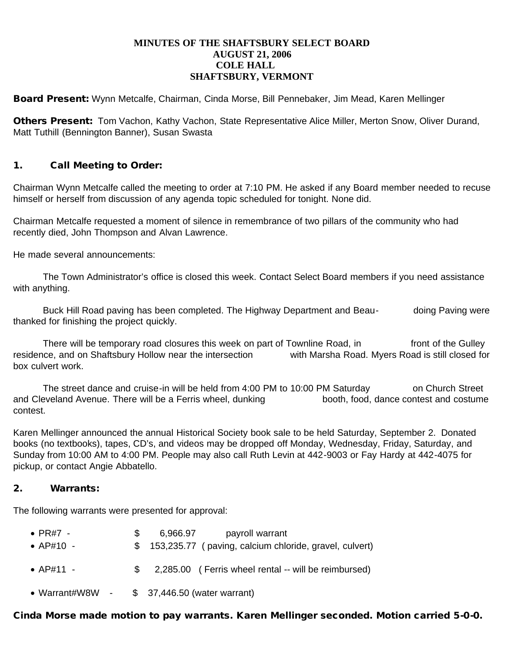### **MINUTES OF THE SHAFTSBURY SELECT BOARD AUGUST 21, 2006 COLE HALL SHAFTSBURY, VERMONT**

Board Present: Wynn Metcalfe, Chairman, Cinda Morse, Bill Pennebaker, Jim Mead, Karen Mellinger

Others Present: Tom Vachon, Kathy Vachon, State Representative Alice Miller, Merton Snow, Oliver Durand, Matt Tuthill (Bennington Banner), Susan Swasta

## 1. Call Meeting to Order:

Chairman Wynn Metcalfe called the meeting to order at 7:10 PM. He asked if any Board member needed to recuse himself or herself from discussion of any agenda topic scheduled for tonight. None did.

Chairman Metcalfe requested a moment of silence in remembrance of two pillars of the community who had recently died, John Thompson and Alvan Lawrence.

He made several announcements:

 The Town Administrator's office is closed this week. Contact Select Board members if you need assistance with anything.

 Buck Hill Road paving has been completed. The Highway Department and Beau- doing Paving were thanked for finishing the project quickly.

There will be temporary road closures this week on part of Townline Road, in front of the Gulley residence, and on Shaftsbury Hollow near the intersection with Marsha Road. Myers Road is still closed for box culvert work.

The street dance and cruise-in will be held from 4:00 PM to 10:00 PM Saturday on Church Street and Cleveland Avenue. There will be a Ferris wheel, dunking booth, food, dance contest and costume contest.

Karen Mellinger announced the annual Historical Society book sale to be held Saturday, September 2. Donated books (no textbooks), tapes, CD's, and videos may be dropped off Monday, Wednesday, Friday, Saturday, and Sunday from 10:00 AM to 4:00 PM. People may also call Ruth Levin at 442-9003 or Fay Hardy at 442-4075 for pickup, or contact Angie Abbatello.

#### 2. Warrants:

The following warrants were presented for approval:

• PR#7 - \$ 6,966.97 payroll warrant • AP#10 - \$ 153,235.77 ( paving, calcium chloride, gravel, culvert) • AP#11 - \$ 2,285.00 ( Ferris wheel rental -- will be reimbursed) · Warrant#W8W - \$ 37,446.50 (water warrant)

## Cinda Morse made motion to pay warrants. Karen Mellinger seconded. Motion carried 5-0-0.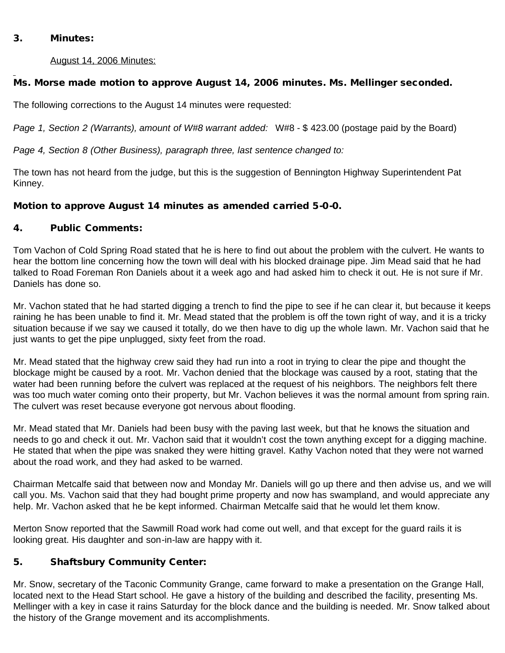#### 3. Minutes:

August 14, 2006 Minutes:

# Ms. Morse made motion to approve August 14, 2006 minutes. Ms. Mellinger seconded.

The following corrections to the August 14 minutes were requested:

*Page 1, Section 2 (Warrants), amount of W#8 warrant added:* W#8 - \$ 423.00 (postage paid by the Board)

*Page 4, Section 8 (Other Business), paragraph three, last sentence changed to:*

The town has not heard from the judge, but this is the suggestion of Bennington Highway Superintendent Pat Kinney.

# Motion to approve August 14 minutes as amended carried 5-0-0.

# 4. Public Comments:

Tom Vachon of Cold Spring Road stated that he is here to find out about the problem with the culvert. He wants to hear the bottom line concerning how the town will deal with his blocked drainage pipe. Jim Mead said that he had talked to Road Foreman Ron Daniels about it a week ago and had asked him to check it out. He is not sure if Mr. Daniels has done so.

Mr. Vachon stated that he had started digging a trench to find the pipe to see if he can clear it, but because it keeps raining he has been unable to find it. Mr. Mead stated that the problem is off the town right of way, and it is a tricky situation because if we say we caused it totally, do we then have to dig up the whole lawn. Mr. Vachon said that he just wants to get the pipe unplugged, sixty feet from the road.

Mr. Mead stated that the highway crew said they had run into a root in trying to clear the pipe and thought the blockage might be caused by a root. Mr. Vachon denied that the blockage was caused by a root, stating that the water had been running before the culvert was replaced at the request of his neighbors. The neighbors felt there was too much water coming onto their property, but Mr. Vachon believes it was the normal amount from spring rain. The culvert was reset because everyone got nervous about flooding.

Mr. Mead stated that Mr. Daniels had been busy with the paving last week, but that he knows the situation and needs to go and check it out. Mr. Vachon said that it wouldn't cost the town anything except for a digging machine. He stated that when the pipe was snaked they were hitting gravel. Kathy Vachon noted that they were not warned about the road work, and they had asked to be warned.

Chairman Metcalfe said that between now and Monday Mr. Daniels will go up there and then advise us, and we will call you. Ms. Vachon said that they had bought prime property and now has swampland, and would appreciate any help. Mr. Vachon asked that he be kept informed. Chairman Metcalfe said that he would let them know.

Merton Snow reported that the Sawmill Road work had come out well, and that except for the guard rails it is looking great. His daughter and son-in-law are happy with it.

# 5. Shaftsbury Community Center:

Mr. Snow, secretary of the Taconic Community Grange, came forward to make a presentation on the Grange Hall, located next to the Head Start school. He gave a history of the building and described the facility, presenting Ms. Mellinger with a key in case it rains Saturday for the block dance and the building is needed. Mr. Snow talked about the history of the Grange movement and its accomplishments.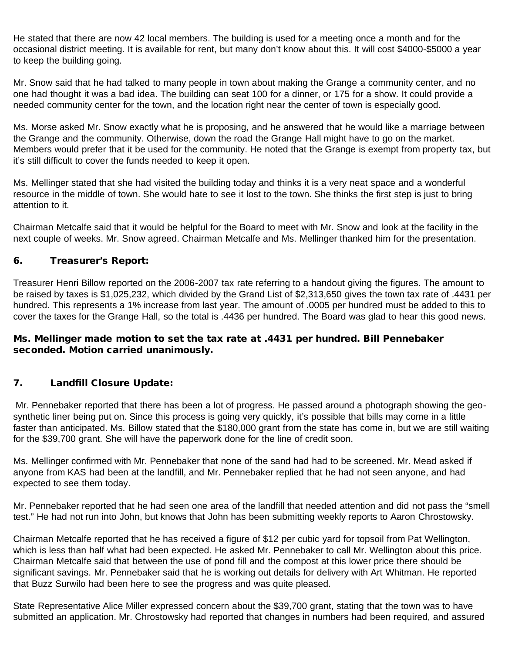He stated that there are now 42 local members. The building is used for a meeting once a month and for the occasional district meeting. It is available for rent, but many don't know about this. It will cost \$4000-\$5000 a year to keep the building going.

Mr. Snow said that he had talked to many people in town about making the Grange a community center, and no one had thought it was a bad idea. The building can seat 100 for a dinner, or 175 for a show. It could provide a needed community center for the town, and the location right near the center of town is especially good.

Ms. Morse asked Mr. Snow exactly what he is proposing, and he answered that he would like a marriage between the Grange and the community. Otherwise, down the road the Grange Hall might have to go on the market. Members would prefer that it be used for the community. He noted that the Grange is exempt from property tax, but it's still difficult to cover the funds needed to keep it open.

Ms. Mellinger stated that she had visited the building today and thinks it is a very neat space and a wonderful resource in the middle of town. She would hate to see it lost to the town. She thinks the first step is just to bring attention to it.

Chairman Metcalfe said that it would be helpful for the Board to meet with Mr. Snow and look at the facility in the next couple of weeks. Mr. Snow agreed. Chairman Metcalfe and Ms. Mellinger thanked him for the presentation.

# 6. Treasurer's Report:

Treasurer Henri Billow reported on the 2006-2007 tax rate referring to a handout giving the figures. The amount to be raised by taxes is \$1,025,232, which divided by the Grand List of \$2,313,650 gives the town tax rate of .4431 per hundred. This represents a 1% increase from last year. The amount of .0005 per hundred must be added to this to cover the taxes for the Grange Hall, so the total is .4436 per hundred. The Board was glad to hear this good news.

### Ms. Mellinger made motion to set the tax rate at .4431 per hundred. Bill Pennebaker seconded. Motion carried unanimously.

## 7. Landfill Closure Update:

Mr. Pennebaker reported that there has been a lot of progress. He passed around a photograph showing the geosynthetic liner being put on. Since this process is going very quickly, it's possible that bills may come in a little faster than anticipated. Ms. Billow stated that the \$180,000 grant from the state has come in, but we are still waiting for the \$39,700 grant. She will have the paperwork done for the line of credit soon.

Ms. Mellinger confirmed with Mr. Pennebaker that none of the sand had had to be screened. Mr. Mead asked if anyone from KAS had been at the landfill, and Mr. Pennebaker replied that he had not seen anyone, and had expected to see them today.

Mr. Pennebaker reported that he had seen one area of the landfill that needed attention and did not pass the "smell test." He had not run into John, but knows that John has been submitting weekly reports to Aaron Chrostowsky.

Chairman Metcalfe reported that he has received a figure of \$12 per cubic yard for topsoil from Pat Wellington, which is less than half what had been expected. He asked Mr. Pennebaker to call Mr. Wellington about this price. Chairman Metcalfe said that between the use of pond fill and the compost at this lower price there should be significant savings. Mr. Pennebaker said that he is working out details for delivery with Art Whitman. He reported that Buzz Surwilo had been here to see the progress and was quite pleased.

State Representative Alice Miller expressed concern about the \$39,700 grant, stating that the town was to have submitted an application. Mr. Chrostowsky had reported that changes in numbers had been required, and assured